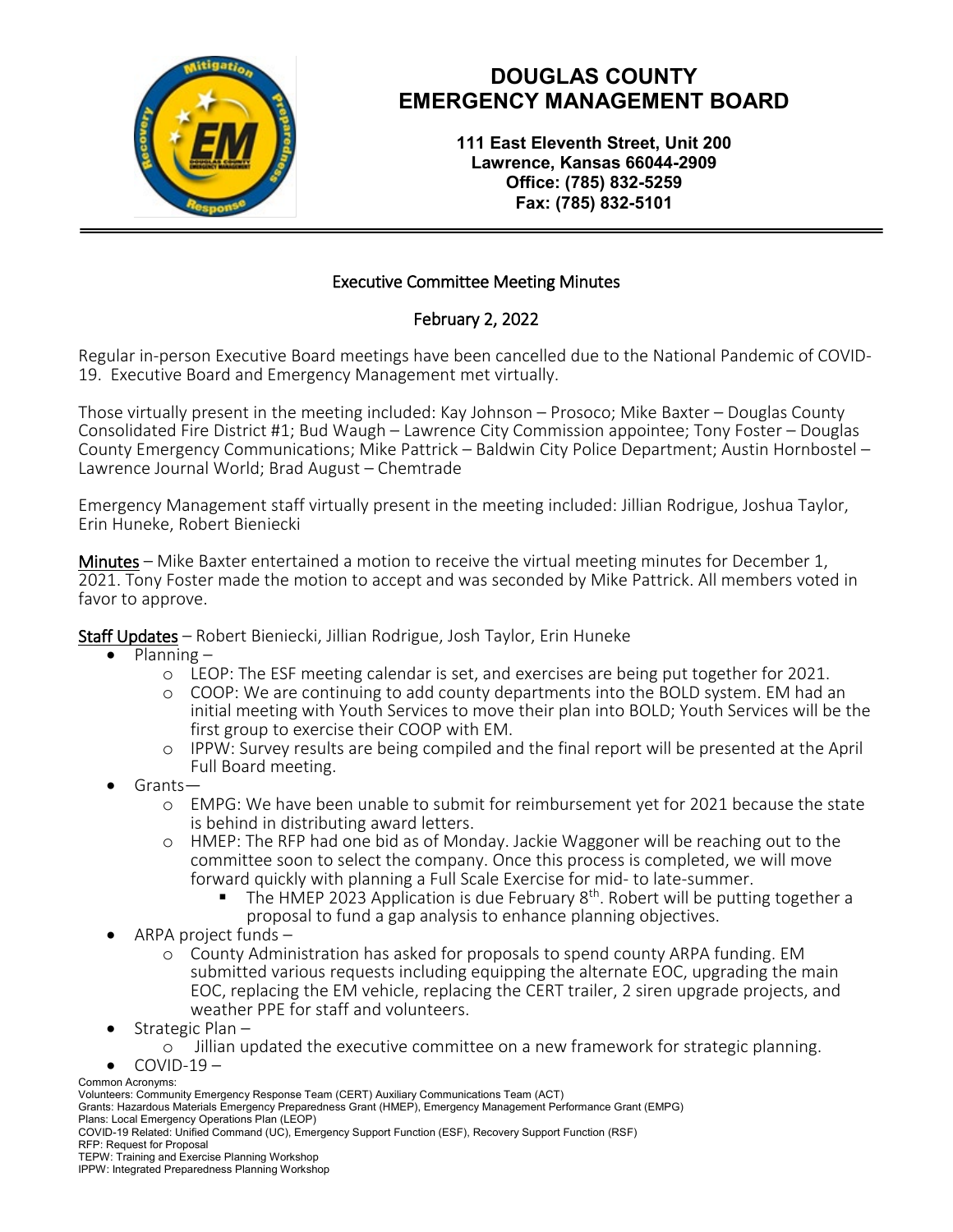

# **DOUGLAS COUNTY EMERGENCY MANAGEMENT BOARD**

**111 East Eleventh Street, Unit 200 Lawrence, Kansas 66044-2909 Office: (785) 832-5259 Fax: (785) 832-5101**

### Executive Committee Meeting Minutes

### February 2, 2022

Regular in-person Executive Board meetings have been cancelled due to the National Pandemic of COVID-19. Executive Board and Emergency Management met virtually.

Those virtually present in the meeting included: Kay Johnson – Prosoco; Mike Baxter – Douglas County Consolidated Fire District #1; Bud Waugh – Lawrence City Commission appointee; Tony Foster – Douglas County Emergency Communications; Mike Pattrick – Baldwin City Police Department; Austin Hornbostel – Lawrence Journal World; Brad August – Chemtrade

Emergency Management staff virtually present in the meeting included: Jillian Rodrigue, Joshua Taylor, Erin Huneke, Robert Bieniecki

Minutes – Mike Baxter entertained a motion to receive the virtual meeting minutes for December 1, 2021. Tony Foster made the motion to accept and was seconded by Mike Pattrick. All members voted in favor to approve.

Staff Updates – Robert Bieniecki, Jillian Rodrigue, Josh Taylor, Erin Huneke

- Planning
	- o LEOP: The ESF meeting calendar is set, and exercises are being put together for 2021.
	- o COOP: We are continuing to add county departments into the BOLD system. EM had an initial meeting with Youth Services to move their plan into BOLD; Youth Services will be the first group to exercise their COOP with EM.
	- o IPPW: Survey results are being compiled and the final report will be presented at the April Full Board meeting.<br>
	Grants—
- - o EMPG: We have been unable to submit for reimbursement yet for 2021 because the state is behind in distributing award letters.
	- o HMEP: The RFP had one bid as of Monday. Jackie Waggoner will be reaching out to the committee soon to select the company. Once this process is completed, we will move
	- The HMEP 2023 Application is due February  $8<sup>th</sup>$ . Robert will be putting together a proposal to fund a gap analysis to enhance planning objectives.<br>ARPA project funds –
- - o County Administration has asked for proposals to spend county ARPA funding. EM submitted various requests including equipping the alternate EOC, upgrading the main EOC, replacing the EM vehicle, replacing the CERT trailer, 2 siren upgrade projects, and weather PPE for staff and volunteers.<br>Strategic Plan –
- 
- <sup>o</sup> Jillian updated the executive committee on a new framework for strategic planning. COVID-19 –
- 

Common Acronyms:

Volunteers: Community Emergency Response Team (CERT) Auxiliary Communications Team (ACT)

Grants: Hazardous Materials Emergency Preparedness Grant (HMEP), Emergency Management Performance Grant (EMPG) Plans: Local Emergency Operations Plan (LEOP)

COVID-19 Related: Unified Command (UC), Emergency Support Function (ESF), Recovery Support Function (RSF)

RFP: Request for Proposal

TEPW: Training and Exercise Planning Workshop

IPPW: Integrated Preparedness Planning Workshop